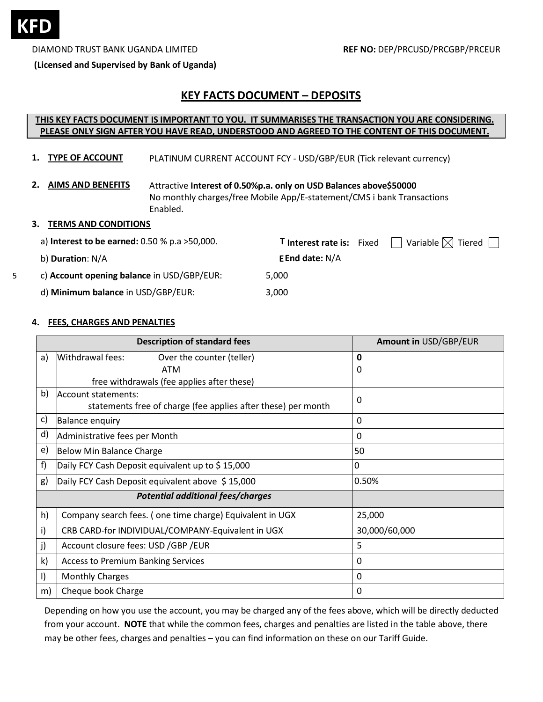

5

DIAMOND TRUST BANK UGANDA LIMITED **REF NO:** DEP/PRCUSD/PRCGBP/PRCEUR

**(Licensed and Supervised by Bank of Uganda)**

# **KEY FACTS DOCUMENT – DEPOSITS**

# **THIS KEY FACTS DOCUMENT IS IMPORTANT TO YOU. IT SUMMARISES THE TRANSACTION YOU ARE CONSIDERING. PLEASE ONLY SIGN AFTER YOU HAVE READ, UNDERSTOOD AND AGREED TO THE CONTENT OF THIS DOCUMENT.**

- **1. TYPE OF ACCOUNT** PLATINUM CURRENT ACCOUNT FCY - USD/GBP/EUR (Tick relevant currency)
- **2. AIMS AND BENEFITS** Attractive **Interest of 0.50%p.a. only on USD Balances above\$50000** No monthly charges/free Mobile App/E-statement/CMS i bank Transactions Enabled.

#### **3. TERMS AND CONDITIONS**

| a) Interest to be earned: $0.50$ % p.a $>50,000$ . | Variable $\boxtimes$ Tiered $\Box$<br><b>T</b> Interest rate is: Fixed |  |
|----------------------------------------------------|------------------------------------------------------------------------|--|
| b) Duration: N/A                                   | <b>EEnd date: N/A</b>                                                  |  |
| c) Account opening balance in USD/GBP/EUR:         | 5.000                                                                  |  |
| d) Minimum balance in USD/GBP/EUR:                 | 3,000                                                                  |  |

#### **4. FEES, CHARGES AND PENALTIES**

| <b>Description of standard fees</b> |                                                               | Amount in USD/GBP/EUR |  |
|-------------------------------------|---------------------------------------------------------------|-----------------------|--|
| a)                                  | Withdrawal fees:<br>Over the counter (teller)                 | $\mathbf 0$           |  |
|                                     | <b>ATM</b>                                                    | 0                     |  |
|                                     | free withdrawals (fee applies after these)                    |                       |  |
| b)                                  | Account statements:                                           | 0                     |  |
|                                     | statements free of charge (fee applies after these) per month |                       |  |
| c)                                  | <b>Balance enquiry</b>                                        | $\Omega$              |  |
| d)                                  | Administrative fees per Month                                 | $\mathbf{0}$          |  |
| e)                                  | Below Min Balance Charge                                      | 50                    |  |
| f)                                  | Daily FCY Cash Deposit equivalent up to \$15,000              | 0                     |  |
| g)                                  | Daily FCY Cash Deposit equivalent above \$15,000              | 0.50%                 |  |
|                                     | <b>Potential additional fees/charges</b>                      |                       |  |
| h)                                  | Company search fees. (one time charge) Equivalent in UGX      | 25,000                |  |
| i)                                  | CRB CARD-for INDIVIDUAL/COMPANY-Equivalent in UGX             | 30,000/60,000         |  |
| j)                                  | Account closure fees: USD /GBP /EUR                           | 5                     |  |
| k)                                  | <b>Access to Premium Banking Services</b>                     | 0                     |  |
| I)                                  | <b>Monthly Charges</b>                                        | 0                     |  |
| m)                                  | Cheque book Charge                                            | 0                     |  |

Depending on how you use the account, you may be charged any of the fees above, which will be directly deducted from your account. **NOTE** that while the common fees, charges and penalties are listed in the table above, there may be other fees, charges and penalties – you can find information on these on our Tariff Guide.